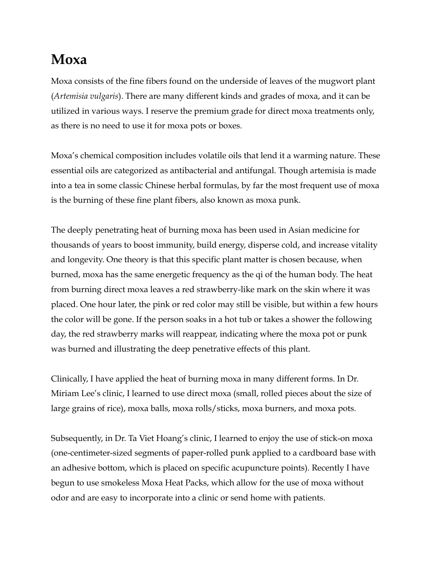## **Moxa**

Moxa consists of the fine fibers found on the underside of leaves of the mugwort plant (*Artemisia vulgaris*). There are many different kinds and grades of moxa, and it can be utilized in various ways. I reserve the premium grade for direct moxa treatments only, as there is no need to use it for moxa pots or boxes.

Moxa's chemical composition includes volatile oils that lend it a warming nature. These essential oils are categorized as antibacterial and antifungal. Though artemisia is made into a tea in some classic Chinese herbal formulas, by far the most frequent use of moxa is the burning of these fine plant fibers, also known as moxa punk.

The deeply penetrating heat of burning moxa has been used in Asian medicine for thousands of years to boost immunity, build energy, disperse cold, and increase vitality and longevity. One theory is that this specific plant matter is chosen because, when burned, moxa has the same energetic frequency as the qi of the human body. The heat from burning direct moxa leaves a red strawberry-like mark on the skin where it was placed. One hour later, the pink or red color may still be visible, but within a few hours the color will be gone. If the person soaks in a hot tub or takes a shower the following day, the red strawberry marks will reappear, indicating where the moxa pot or punk was burned and illustrating the deep penetrative effects of this plant.

Clinically, I have applied the heat of burning moxa in many different forms. In Dr. Miriam Lee's clinic, I learned to use direct moxa (small, rolled pieces about the size of large grains of rice), moxa balls, moxa rolls/sticks, moxa burners, and moxa pots.

Subsequently, in Dr. Ta Viet Hoang's clinic, I learned to enjoy the use of stick-on moxa (one-centimeter-sized segments of paper-rolled punk applied to a cardboard base with an adhesive bottom, which is placed on specific acupuncture points). Recently I have begun to use smokeless Moxa Heat Packs, which allow for the use of moxa without odor and are easy to incorporate into a clinic or send home with patients.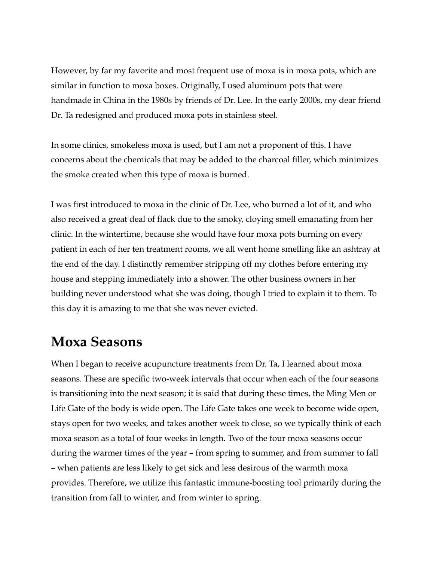However, by far my favorite and most frequent use of moxa is in moxa pots, which are similar in function to moxa boxes. Originally, I used aluminum pots that were handmade in China in the 1980s by friends of Dr. Lee. In the early 2000s, my dear friend Dr. Ta redesigned and produced moxa pots in stainless steel.

In some clinics, smokeless moxa is used, but I am not a proponent of this. I have concerns about the chemicals that may be added to the charcoal filler, which minimizes the smoke created when this type of moxa is burned.

I was first introduced to moxa in the clinic of Dr. Lee, who burned a lot of it, and who also received a great deal of flack due to the smoky, cloying smell emanating from her clinic. In the wintertime, because she would have four moxa pots burning on every patient in each of her ten treatment rooms, we all went home smelling like an ashtray at the end of the day. I distinctly remember stripping off my clothes before entering my house and stepping immediately into a shower. The other business owners in her building never understood what she was doing, though I tried to explain it to them. To this day it is amazing to me that she was never evicted.

## **Moxa Seasons**

When I began to receive acupuncture treatments from Dr. Ta, I learned about moxa seasons. These are specific two-week intervals that occur when each of the four seasons is transitioning into the next season; it is said that during these times, the Ming Men or Life Gate of the body is wide open. The Life Gate takes one week to become wide open, stays open for two weeks, and takes another week to close, so we typically think of each moxa season as a total of four weeks in length. Two of the four moxa seasons occur during the warmer times of the year – from spring to summer, and from summer to fall – when patients are less likely to get sick and less desirous of the warmth moxa provides. Therefore, we utilize this fantastic immune-boosting tool primarily during the transition from fall to winter, and from winter to spring.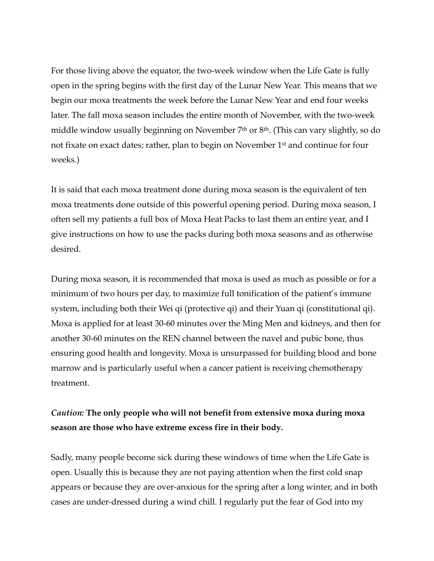For those living above the equator, the two-week window when the Life Gate is fully open in the spring begins with the first day of the Lunar New Year. This means that we begin our moxa treatments the week before the Lunar New Year and end four weeks later. The fall moxa season includes the entire month of November, with the two-week middle window usually beginning on November 7th or 8th. (This can vary slightly, so do not fixate on exact dates; rather, plan to begin on November 1st and continue for four weeks.)

It is said that each moxa treatment done during moxa season is the equivalent of ten moxa treatments done outside of this powerful opening period. During moxa season, I often sell my patients a full box of Moxa Heat Packs to last them an entire year, and I give instructions on how to use the packs during both moxa seasons and as otherwise desired.

During moxa season, it is recommended that moxa is used as much as possible or for a minimum of two hours per day, to maximize full tonification of the patient's immune system, including both their Wei qi (protective qi) and their Yuan qi (constitutional qi). Moxa is applied for at least 30-60 minutes over the Ming Men and kidneys, and then for another 30-60 minutes on the REN channel between the navel and pubic bone, thus ensuring good health and longevity. Moxa is unsurpassed for building blood and bone marrow and is particularly useful when a cancer patient is receiving chemotherapy treatment.

### *Caution:* **The only people who will not benefit from extensive moxa during moxa season are those who have extreme excess fire in their body.**

Sadly, many people become sick during these windows of time when the Life Gate is open. Usually this is because they are not paying attention when the first cold snap appears or because they are over-anxious for the spring after a long winter, and in both cases are under-dressed during a wind chill. I regularly put the fear of God into my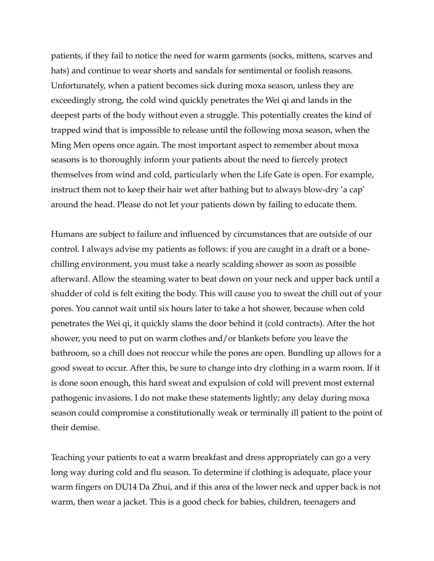patients, if they fail to notice the need for warm garments (socks, mittens, scarves and hats) and continue to wear shorts and sandals for sentimental or foolish reasons. Unfortunately, when a patient becomes sick during moxa season, unless they are exceedingly strong, the cold wind quickly penetrates the Wei qi and lands in the deepest parts of the body without even a struggle. This potentially creates the kind of trapped wind that is impossible to release until the following moxa season, when the Ming Men opens once again. The most important aspect to remember about moxa seasons is to thoroughly inform your patients about the need to fiercely protect themselves from wind and cold, particularly when the Life Gate is open. For example, instruct them not to keep their hair wet after bathing but to always blow-dry 'a cap' around the head. Please do not let your patients down by failing to educate them.

Humans are subject to failure and influenced by circumstances that are outside of our control. I always advise my patients as follows: if you are caught in a draft or a bonechilling environment, you must take a nearly scalding shower as soon as possible afterward. Allow the steaming water to beat down on your neck and upper back until a shudder of cold is felt exiting the body. This will cause you to sweat the chill out of your pores. You cannot wait until six hours later to take a hot shower, because when cold penetrates the Wei qi, it quickly slams the door behind it (cold contracts). After the hot shower, you need to put on warm clothes and/or blankets before you leave the bathroom, so a chill does not reoccur while the pores are open. Bundling up allows for a good sweat to occur. After this, be sure to change into dry clothing in a warm room. If it is done soon enough, this hard sweat and expulsion of cold will prevent most external pathogenic invasions. I do not make these statements lightly; any delay during moxa season could compromise a constitutionally weak or terminally ill patient to the point of their demise.

Teaching your patients to eat a warm breakfast and dress appropriately can go a very long way during cold and flu season. To determine if clothing is adequate, place your warm fingers on DU14 Da Zhui, and if this area of the lower neck and upper back is not warm, then wear a jacket. This is a good check for babies, children, teenagers and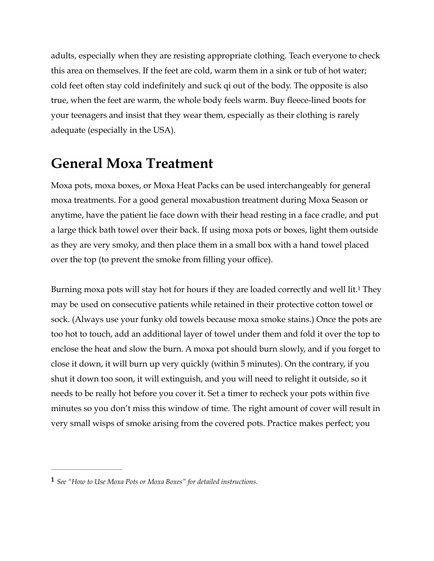adults, especially when they are resisting appropriate clothing. Teach everyone to check this area on themselves. If the feet are cold, warm them in a sink or tub of hot water; cold feet often stay cold indefinitely and suck qi out of the body. The opposite is also true, when the feet are warm, the whole body feels warm. Buy fleece-lined boots for your teenagers and insist that they wear them, especially as their clothing is rarely adequate (especially in the USA).

# **General Moxa Treatment**

Moxa pots, moxa boxes, or Moxa Heat Packs can be used interchangeably for general moxa treatments. For a good general moxabustion treatment during Moxa Season or anytime, have the patient lie face down with their head resting in a face cradle, and put a large thick bath towel over their back. If using moxa pots or boxes, light them outside as they are very smoky, and then place them in a small box with a hand towel placed over the top (to prevent the smoke from filling your office).

<span id="page-4-1"></span>Burningmoxa pots will stay hot for hours if they are loaded correctly and well lit.<sup>[1](#page-4-0)</sup> They may be used on consecutive patients while retained in their protective cotton towel or sock. (Always use your funky old towels because moxa smoke stains.) Once the pots are too hot to touch, add an additional layer of towel under them and fold it over the top to enclose the heat and slow the burn. A moxa pot should burn slowly, and if you forget to close it down, it will burn up very quickly (within 5 minutes). On the contrary, if you shut it down too soon, it will extinguish, and you will need to relight it outside, so it needs to be really hot before you cover it. Set a timer to recheck your pots within five minutes so you don't miss this window of time. The right amount of cover will result in very small wisps of smoke arising from the covered pots. Practice makes perfect; you

<span id="page-4-0"></span>*See "How to Use Moxa Pots or Moxa Boxes" for detailed instructions.* **[1](#page-4-1)**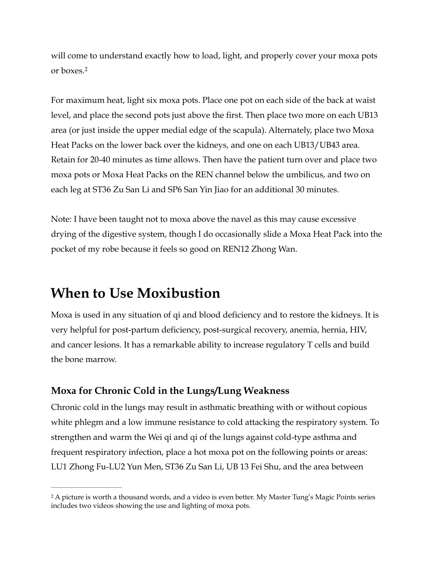<span id="page-5-1"></span>will come to understand exactly how to load, light, and properly cover your moxa pots or boxes. [2](#page-5-0)

For maximum heat, light six moxa pots. Place one pot on each side of the back at waist level, and place the second pots just above the first. Then place two more on each UB13 area (or just inside the upper medial edge of the scapula). Alternately, place two Moxa Heat Packs on the lower back over the kidneys, and one on each UB13/UB43 area. Retain for 20-40 minutes as time allows. Then have the patient turn over and place two moxa pots or Moxa Heat Packs on the REN channel below the umbilicus, and two on each leg at ST36 Zu San Li and SP6 San Yin Jiao for an additional 30 minutes.

Note: I have been taught not to moxa above the navel as this may cause excessive drying of the digestive system, though I do occasionally slide a Moxa Heat Pack into the pocket of my robe because it feels so good on REN12 Zhong Wan.

## **When to Use Moxibustion**

Moxa is used in any situation of qi and blood deficiency and to restore the kidneys. It is very helpful for post-partum deficiency, post-surgical recovery, anemia, hernia, HIV, and cancer lesions. It has a remarkable ability to increase regulatory T cells and build the bone marrow.

## **Moxa for Chronic Cold in the Lungs/Lung Weakness**

Chronic cold in the lungs may result in asthmatic breathing with or without copious white phlegm and a low immune resistance to cold attacking the respiratory system. To strengthen and warm the Wei qi and qi of the lungs against cold-type asthma and frequent respiratory infection, place a hot moxa pot on the following points or areas: LU1 Zhong Fu-LU2 Yun Men, ST36 Zu San Li, UB 13 Fei Shu, and the area between

<span id="page-5-0"></span><sup>&</sup>lt;sup>[2](#page-5-1)</sup> A picture is worth a thousand words, and a video is even better. My Master Tung's Magic Points series includes two videos showing the use and lighting of moxa pots.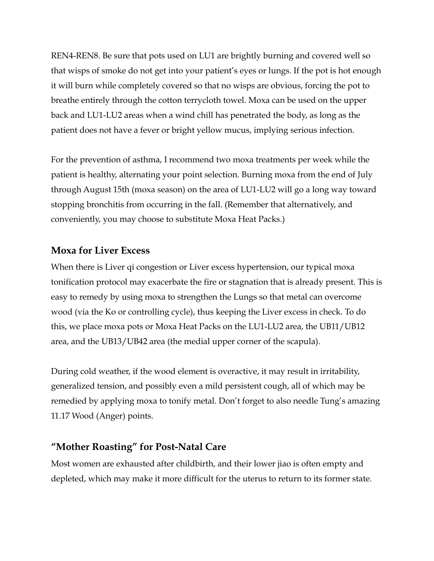REN4-REN8. Be sure that pots used on LU1 are brightly burning and covered well so that wisps of smoke do not get into your patient's eyes or lungs. If the pot is hot enough it will burn while completely covered so that no wisps are obvious, forcing the pot to breathe entirely through the cotton terrycloth towel. Moxa can be used on the upper back and LU1-LU2 areas when a wind chill has penetrated the body, as long as the patient does not have a fever or bright yellow mucus, implying serious infection.

For the prevention of asthma, I recommend two moxa treatments per week while the patient is healthy, alternating your point selection. Burning moxa from the end of July through August 15th (moxa season) on the area of LU1-LU2 will go a long way toward stopping bronchitis from occurring in the fall. (Remember that alternatively, and conveniently, you may choose to substitute Moxa Heat Packs.)

#### **Moxa for Liver Excess**

When there is Liver qi congestion or Liver excess hypertension, our typical moxa tonification protocol may exacerbate the fire or stagnation that is already present. This is easy to remedy by using moxa to strengthen the Lungs so that metal can overcome wood (via the Ko or controlling cycle), thus keeping the Liver excess in check. To do this, we place moxa pots or Moxa Heat Packs on the LU1-LU2 area, the UB11/UB12 area, and the UB13/UB42 area (the medial upper corner of the scapula).

During cold weather, if the wood element is overactive, it may result in irritability, generalized tension, and possibly even a mild persistent cough, all of which may be remedied by applying moxa to tonify metal. Don't forget to also needle Tung's amazing 11.17 Wood (Anger) points.

#### **"Mother Roasting" for Post-Natal Care**

Most women are exhausted after childbirth, and their lower jiao is often empty and depleted, which may make it more difficult for the uterus to return to its former state.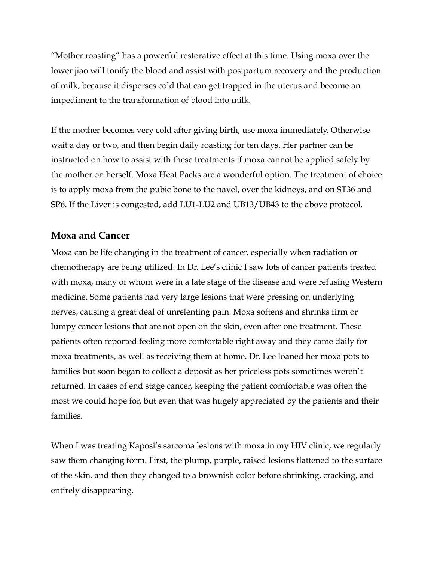"Mother roasting" has a powerful restorative effect at this time. Using moxa over the lower jiao will tonify the blood and assist with postpartum recovery and the production of milk, because it disperses cold that can get trapped in the uterus and become an impediment to the transformation of blood into milk.

If the mother becomes very cold after giving birth, use moxa immediately. Otherwise wait a day or two, and then begin daily roasting for ten days. Her partner can be instructed on how to assist with these treatments if moxa cannot be applied safely by the mother on herself. Moxa Heat Packs are a wonderful option. The treatment of choice is to apply moxa from the pubic bone to the navel, over the kidneys, and on ST36 and SP6. If the Liver is congested, add LU1-LU2 and UB13/UB43 to the above protocol.

### **Moxa and Cancer**

Moxa can be life changing in the treatment of cancer, especially when radiation or chemotherapy are being utilized. In Dr. Lee's clinic I saw lots of cancer patients treated with moxa, many of whom were in a late stage of the disease and were refusing Western medicine. Some patients had very large lesions that were pressing on underlying nerves, causing a great deal of unrelenting pain. Moxa softens and shrinks firm or lumpy cancer lesions that are not open on the skin, even after one treatment. These patients often reported feeling more comfortable right away and they came daily for moxa treatments, as well as receiving them at home. Dr. Lee loaned her moxa pots to families but soon began to collect a deposit as her priceless pots sometimes weren't returned. In cases of end stage cancer, keeping the patient comfortable was often the most we could hope for, but even that was hugely appreciated by the patients and their families.

When I was treating Kaposi's sarcoma lesions with moxa in my HIV clinic, we regularly saw them changing form. First, the plump, purple, raised lesions flattened to the surface of the skin, and then they changed to a brownish color before shrinking, cracking, and entirely disappearing.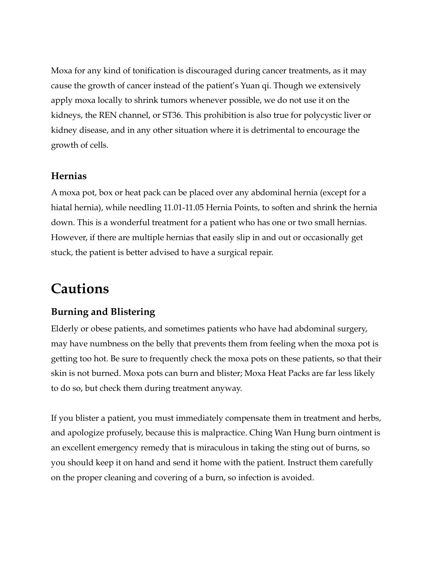Moxa for any kind of tonification is discouraged during cancer treatments, as it may cause the growth of cancer instead of the patient's Yuan qi. Though we extensively apply moxa locally to shrink tumors whenever possible, we do not use it on the kidneys, the REN channel, or ST36. This prohibition is also true for polycystic liver or kidney disease, and in any other situation where it is detrimental to encourage the growth of cells.

#### **Hernias**

A moxa pot, box or heat pack can be placed over any abdominal hernia (except for a hiatal hernia), while needling 11.01-11.05 Hernia Points, to soften and shrink the hernia down. This is a wonderful treatment for a patient who has one or two small hernias. However, if there are multiple hernias that easily slip in and out or occasionally get stuck, the patient is better advised to have a surgical repair.

## **Cautions**

## **Burning and Blistering**

Elderly or obese patients, and sometimes patients who have had abdominal surgery, may have numbness on the belly that prevents them from feeling when the moxa pot is getting too hot. Be sure to frequently check the moxa pots on these patients, so that their skin is not burned. Moxa pots can burn and blister; Moxa Heat Packs are far less likely to do so, but check them during treatment anyway.

If you blister a patient, you must immediately compensate them in treatment and herbs, and apologize profusely, because this is malpractice. Ching Wan Hung burn ointment is an excellent emergency remedy that is miraculous in taking the sting out of burns, so you should keep it on hand and send it home with the patient. Instruct them carefully on the proper cleaning and covering of a burn, so infection is avoided.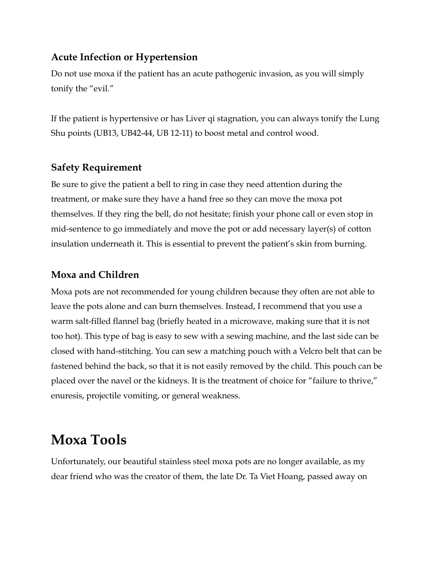### **Acute Infection or Hypertension**

Do not use moxa if the patient has an acute pathogenic invasion, as you will simply tonify the "evil."

If the patient is hypertensive or has Liver qi stagnation, you can always tonify the Lung Shu points (UB13, UB42-44, UB 12-11) to boost metal and control wood.

### **Safety Requirement**

Be sure to give the patient a bell to ring in case they need attention during the treatment, or make sure they have a hand free so they can move the moxa pot themselves. If they ring the bell, do not hesitate; finish your phone call or even stop in mid-sentence to go immediately and move the pot or add necessary layer(s) of cotton insulation underneath it. This is essential to prevent the patient's skin from burning.

### **Moxa and Children**

Moxa pots are not recommended for young children because they often are not able to leave the pots alone and can burn themselves. Instead, I recommend that you use a warm salt-filled flannel bag (briefly heated in a microwave, making sure that it is not too hot). This type of bag is easy to sew with a sewing machine, and the last side can be closed with hand-stitching. You can sew a matching pouch with a Velcro belt that can be fastened behind the back, so that it is not easily removed by the child. This pouch can be placed over the navel or the kidneys. It is the treatment of choice for "failure to thrive," enuresis, projectile vomiting, or general weakness.

## **Moxa Tools**

Unfortunately, our beautiful stainless steel moxa pots are no longer available, as my dear friend who was the creator of them, the late Dr. Ta Viet Hoang, passed away on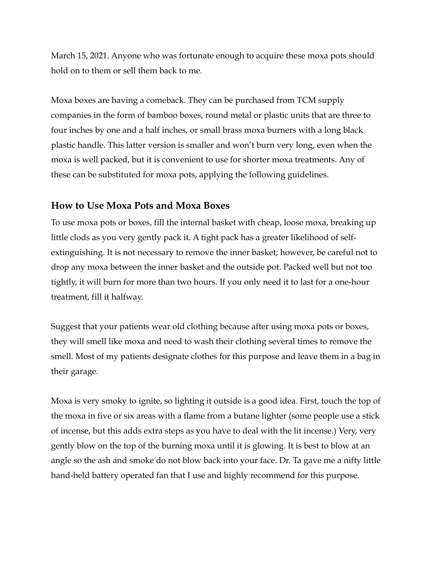March 15, 2021. Anyone who was fortunate enough to acquire these moxa pots should hold on to them or sell them back to me.

Moxa boxes are having a comeback. They can be purchased from TCM supply companies in the form of bamboo boxes, round metal or plastic units that are three to four inches by one and a half inches, or small brass moxa burners with a long black plastic handle. This latter version is smaller and won't burn very long, even when the moxa is well packed, but it is convenient to use for shorter moxa treatments. Any of these can be substituted for moxa pots, applying the following guidelines.

### **How to Use Moxa Pots and Moxa Boxes**

To use moxa pots or boxes, fill the internal basket with cheap, loose moxa, breaking up little clods as you very gently pack it. A tight pack has a greater likelihood of selfextinguishing. It is not necessary to remove the inner basket; however, be careful not to drop any moxa between the inner basket and the outside pot. Packed well but not too tightly, it will burn for more than two hours. If you only need it to last for a one-hour treatment, fill it halfway.

Suggest that your patients wear old clothing because after using moxa pots or boxes, they will smell like moxa and need to wash their clothing several times to remove the smell. Most of my patients designate clothes for this purpose and leave them in a bag in their garage.

Moxa is very smoky to ignite, so lighting it outside is a good idea. First, touch the top of the moxa in five or six areas with a flame from a butane lighter (some people use a stick of incense, but this adds extra steps as you have to deal with the lit incense.) Very, very gently blow on the top of the burning moxa until it is glowing. It is best to blow at an angle so the ash and smoke do not blow back into your face. Dr. Ta gave me a nifty little hand-held battery operated fan that I use and highly recommend for this purpose.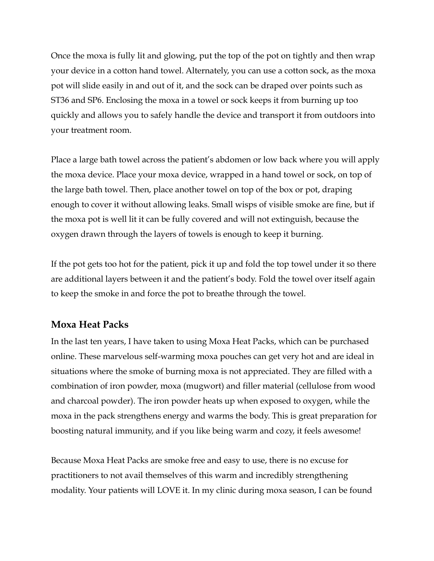Once the moxa is fully lit and glowing, put the top of the pot on tightly and then wrap your device in a cotton hand towel. Alternately, you can use a cotton sock, as the moxa pot will slide easily in and out of it, and the sock can be draped over points such as ST36 and SP6. Enclosing the moxa in a towel or sock keeps it from burning up too quickly and allows you to safely handle the device and transport it from outdoors into your treatment room.

Place a large bath towel across the patient's abdomen or low back where you will apply the moxa device. Place your moxa device, wrapped in a hand towel or sock, on top of the large bath towel. Then, place another towel on top of the box or pot, draping enough to cover it without allowing leaks. Small wisps of visible smoke are fine, but if the moxa pot is well lit it can be fully covered and will not extinguish, because the oxygen drawn through the layers of towels is enough to keep it burning.

If the pot gets too hot for the patient, pick it up and fold the top towel under it so there are additional layers between it and the patient's body. Fold the towel over itself again to keep the smoke in and force the pot to breathe through the towel.

### **Moxa Heat Packs**

In the last ten years, I have taken to using Moxa Heat Packs, which can be purchased online. These marvelous self-warming moxa pouches can get very hot and are ideal in situations where the smoke of burning moxa is not appreciated. They are filled with a combination of iron powder, moxa (mugwort) and filler material (cellulose from wood and charcoal powder). The iron powder heats up when exposed to oxygen, while the moxa in the pack strengthens energy and warms the body. This is great preparation for boosting natural immunity, and if you like being warm and cozy, it feels awesome!

Because Moxa Heat Packs are smoke free and easy to use, there is no excuse for practitioners to not avail themselves of this warm and incredibly strengthening modality. Your patients will LOVE it. In my clinic during moxa season, I can be found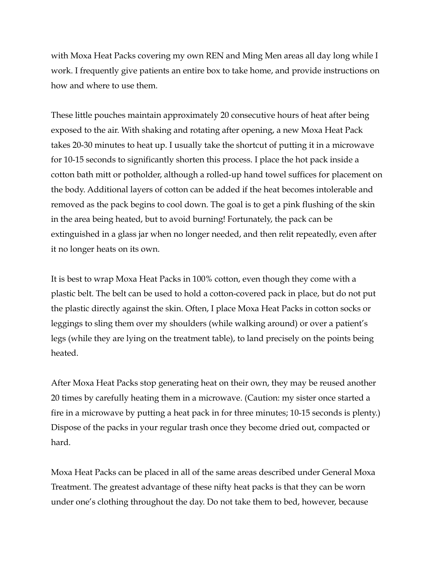with Moxa Heat Packs covering my own REN and Ming Men areas all day long while I work. I frequently give patients an entire box to take home, and provide instructions on how and where to use them.

These little pouches maintain approximately 20 consecutive hours of heat after being exposed to the air. With shaking and rotating after opening, a new Moxa Heat Pack takes 20-30 minutes to heat up. I usually take the shortcut of putting it in a microwave for 10-15 seconds to significantly shorten this process. I place the hot pack inside a cotton bath mitt or potholder, although a rolled-up hand towel suffices for placement on the body. Additional layers of cotton can be added if the heat becomes intolerable and removed as the pack begins to cool down. The goal is to get a pink flushing of the skin in the area being heated, but to avoid burning! Fortunately, the pack can be extinguished in a glass jar when no longer needed, and then relit repeatedly, even after it no longer heats on its own.

It is best to wrap Moxa Heat Packs in 100% cotton, even though they come with a plastic belt. The belt can be used to hold a cotton-covered pack in place, but do not put the plastic directly against the skin. Often, I place Moxa Heat Packs in cotton socks or leggings to sling them over my shoulders (while walking around) or over a patient's legs (while they are lying on the treatment table), to land precisely on the points being heated.

After Moxa Heat Packs stop generating heat on their own, they may be reused another 20 times by carefully heating them in a microwave. (Caution: my sister once started a fire in a microwave by putting a heat pack in for three minutes; 10-15 seconds is plenty.) Dispose of the packs in your regular trash once they become dried out, compacted or hard.

Moxa Heat Packs can be placed in all of the same areas described under General Moxa Treatment. The greatest advantage of these nifty heat packs is that they can be worn under one's clothing throughout the day. Do not take them to bed, however, because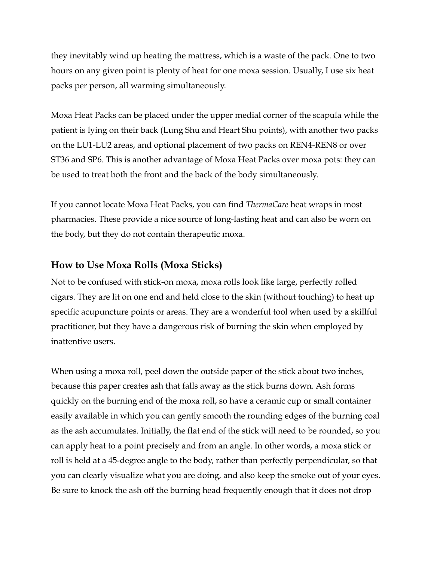they inevitably wind up heating the mattress, which is a waste of the pack. One to two hours on any given point is plenty of heat for one moxa session. Usually, I use six heat packs per person, all warming simultaneously.

Moxa Heat Packs can be placed under the upper medial corner of the scapula while the patient is lying on their back (Lung Shu and Heart Shu points), with another two packs on the LU1-LU2 areas, and optional placement of two packs on REN4-REN8 or over ST36 and SP6. This is another advantage of Moxa Heat Packs over moxa pots: they can be used to treat both the front and the back of the body simultaneously.

If you cannot locate Moxa Heat Packs, you can find *ThermaCare* heat wraps in most pharmacies. These provide a nice source of long-lasting heat and can also be worn on the body, but they do not contain therapeutic moxa.

#### **How to Use Moxa Rolls (Moxa Sticks)**

Not to be confused with stick-on moxa, moxa rolls look like large, perfectly rolled cigars. They are lit on one end and held close to the skin (without touching) to heat up specific acupuncture points or areas. They are a wonderful tool when used by a skillful practitioner, but they have a dangerous risk of burning the skin when employed by inattentive users.

When using a moxa roll, peel down the outside paper of the stick about two inches, because this paper creates ash that falls away as the stick burns down. Ash forms quickly on the burning end of the moxa roll, so have a ceramic cup or small container easily available in which you can gently smooth the rounding edges of the burning coal as the ash accumulates. Initially, the flat end of the stick will need to be rounded, so you can apply heat to a point precisely and from an angle. In other words, a moxa stick or roll is held at a 45-degree angle to the body, rather than perfectly perpendicular, so that you can clearly visualize what you are doing, and also keep the smoke out of your eyes. Be sure to knock the ash off the burning head frequently enough that it does not drop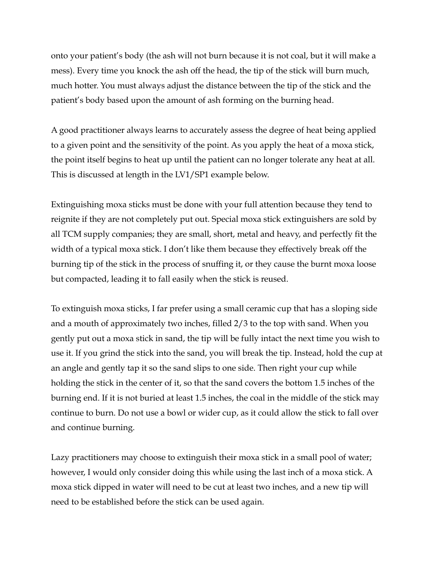onto your patient's body (the ash will not burn because it is not coal, but it will make a mess). Every time you knock the ash off the head, the tip of the stick will burn much, much hotter. You must always adjust the distance between the tip of the stick and the patient's body based upon the amount of ash forming on the burning head.

A good practitioner always learns to accurately assess the degree of heat being applied to a given point and the sensitivity of the point. As you apply the heat of a moxa stick, the point itself begins to heat up until the patient can no longer tolerate any heat at all. This is discussed at length in the LV1/SP1 example below.

Extinguishing moxa sticks must be done with your full attention because they tend to reignite if they are not completely put out. Special moxa stick extinguishers are sold by all TCM supply companies; they are small, short, metal and heavy, and perfectly fit the width of a typical moxa stick. I don't like them because they effectively break off the burning tip of the stick in the process of snuffing it, or they cause the burnt moxa loose but compacted, leading it to fall easily when the stick is reused.

To extinguish moxa sticks, I far prefer using a small ceramic cup that has a sloping side and a mouth of approximately two inches, filled 2/3 to the top with sand. When you gently put out a moxa stick in sand, the tip will be fully intact the next time you wish to use it. If you grind the stick into the sand, you will break the tip. Instead, hold the cup at an angle and gently tap it so the sand slips to one side. Then right your cup while holding the stick in the center of it, so that the sand covers the bottom 1.5 inches of the burning end. If it is not buried at least 1.5 inches, the coal in the middle of the stick may continue to burn. Do not use a bowl or wider cup, as it could allow the stick to fall over and continue burning.

Lazy practitioners may choose to extinguish their moxa stick in a small pool of water; however, I would only consider doing this while using the last inch of a moxa stick. A moxa stick dipped in water will need to be cut at least two inches, and a new tip will need to be established before the stick can be used again.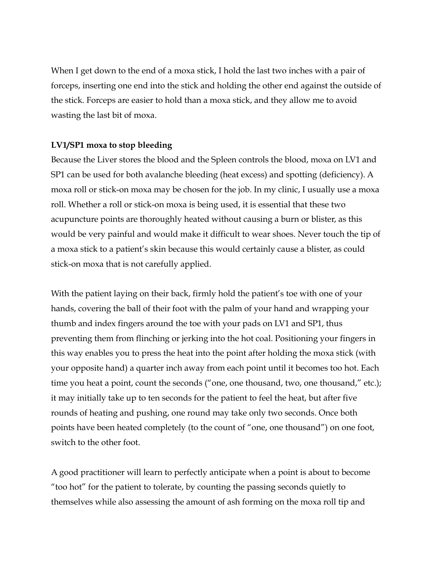When I get down to the end of a moxa stick, I hold the last two inches with a pair of forceps, inserting one end into the stick and holding the other end against the outside of the stick. Forceps are easier to hold than a moxa stick, and they allow me to avoid wasting the last bit of moxa.

#### **LV1/SP1 moxa to stop bleeding**

Because the Liver stores the blood and the Spleen controls the blood, moxa on LV1 and SP1 can be used for both avalanche bleeding (heat excess) and spotting (deficiency). A moxa roll or stick-on moxa may be chosen for the job. In my clinic, I usually use a moxa roll. Whether a roll or stick-on moxa is being used, it is essential that these two acupuncture points are thoroughly heated without causing a burn or blister, as this would be very painful and would make it difficult to wear shoes. Never touch the tip of a moxa stick to a patient's skin because this would certainly cause a blister, as could stick-on moxa that is not carefully applied.

With the patient laying on their back, firmly hold the patient's toe with one of your hands, covering the ball of their foot with the palm of your hand and wrapping your thumb and index fingers around the toe with your pads on LV1 and SP1, thus preventing them from flinching or jerking into the hot coal. Positioning your fingers in this way enables you to press the heat into the point after holding the moxa stick (with your opposite hand) a quarter inch away from each point until it becomes too hot. Each time you heat a point, count the seconds ("one, one thousand, two, one thousand," etc.); it may initially take up to ten seconds for the patient to feel the heat, but after five rounds of heating and pushing, one round may take only two seconds. Once both points have been heated completely (to the count of "one, one thousand") on one foot, switch to the other foot.

A good practitioner will learn to perfectly anticipate when a point is about to become "too hot" for the patient to tolerate, by counting the passing seconds quietly to themselves while also assessing the amount of ash forming on the moxa roll tip and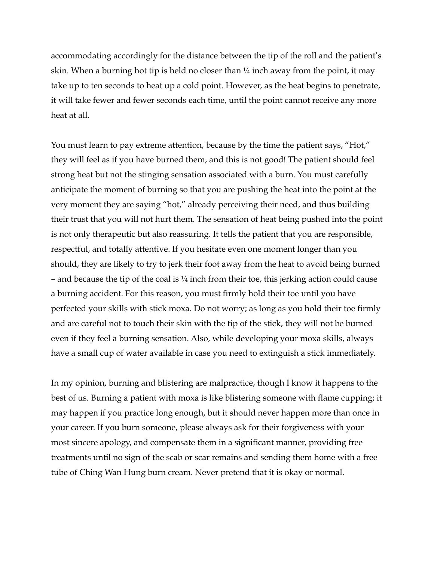accommodating accordingly for the distance between the tip of the roll and the patient's skin. When a burning hot tip is held no closer than  $\frac{1}{4}$  inch away from the point, it may take up to ten seconds to heat up a cold point. However, as the heat begins to penetrate, it will take fewer and fewer seconds each time, until the point cannot receive any more heat at all.

You must learn to pay extreme attention, because by the time the patient says, "Hot," they will feel as if you have burned them, and this is not good! The patient should feel strong heat but not the stinging sensation associated with a burn. You must carefully anticipate the moment of burning so that you are pushing the heat into the point at the very moment they are saying "hot," already perceiving their need, and thus building their trust that you will not hurt them. The sensation of heat being pushed into the point is not only therapeutic but also reassuring. It tells the patient that you are responsible, respectful, and totally attentive. If you hesitate even one moment longer than you should, they are likely to try to jerk their foot away from the heat to avoid being burned – and because the tip of the coal is  $\frac{1}{4}$  inch from their toe, this jerking action could cause a burning accident. For this reason, you must firmly hold their toe until you have perfected your skills with stick moxa. Do not worry; as long as you hold their toe firmly and are careful not to touch their skin with the tip of the stick, they will not be burned even if they feel a burning sensation. Also, while developing your moxa skills, always have a small cup of water available in case you need to extinguish a stick immediately.

In my opinion, burning and blistering are malpractice, though I know it happens to the best of us. Burning a patient with moxa is like blistering someone with flame cupping; it may happen if you practice long enough, but it should never happen more than once in your career. If you burn someone, please always ask for their forgiveness with your most sincere apology, and compensate them in a significant manner, providing free treatments until no sign of the scab or scar remains and sending them home with a free tube of Ching Wan Hung burn cream. Never pretend that it is okay or normal.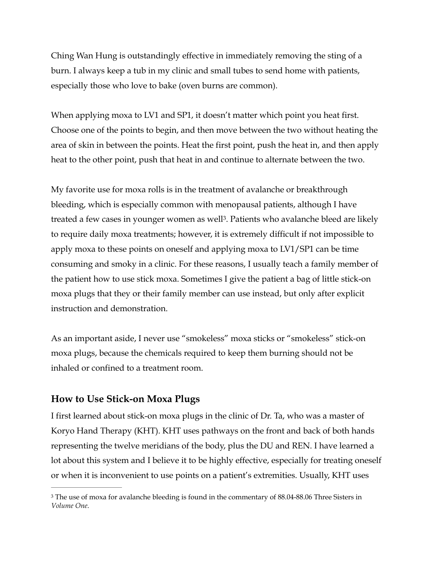Ching Wan Hung is outstandingly effective in immediately removing the sting of a burn. I always keep a tub in my clinic and small tubes to send home with patients, especially those who love to bake (oven burns are common).

When applying moxa to LV1 and SP1, it doesn't matter which point you heat first. Choose one of the points to begin, and then move between the two without heating the area of skin in between the points. Heat the first point, push the heat in, and then apply heat to the other point, push that heat in and continue to alternate between the two.

<span id="page-17-1"></span>My favorite use for moxa rolls is in the treatment of avalanche or breakthrough bleeding, which is especially common with menopausal patients, although I have treated a few cases in younger women as well<sup>3</sup>[.](#page-17-0) Patients who avalanche bleed are likely to require daily moxa treatments; however, it is extremely difficult if not impossible to apply moxa to these points on oneself and applying moxa to LV1/SP1 can be time consuming and smoky in a clinic. For these reasons, I usually teach a family member of the patient how to use stick moxa. Sometimes I give the patient a bag of little stick-on moxa plugs that they or their family member can use instead, but only after explicit instruction and demonstration.

As an important aside, I never use "smokeless" moxa sticks or "smokeless" stick-on moxa plugs, because the chemicals required to keep them burning should not be inhaled or confined to a treatment room.

### **How to Use Stick-on Moxa Plugs**

I first learned about stick-on moxa plugs in the clinic of Dr. Ta, who was a master of Koryo Hand Therapy (KHT). KHT uses pathways on the front and back of both hands representing the twelve meridians of the body, plus the DU and REN. I have learned a lot about this system and I believe it to be highly effective, especially for treating oneself or when it is inconvenient to use points on a patient's extremities. Usually, KHT uses

<span id="page-17-0"></span><sup>&</sup>lt;sup>[3](#page-17-1)</sup> The use of moxa for avalanche bleeding is found in the commentary of 88.04-88.06 Three Sisters in *Volume One*.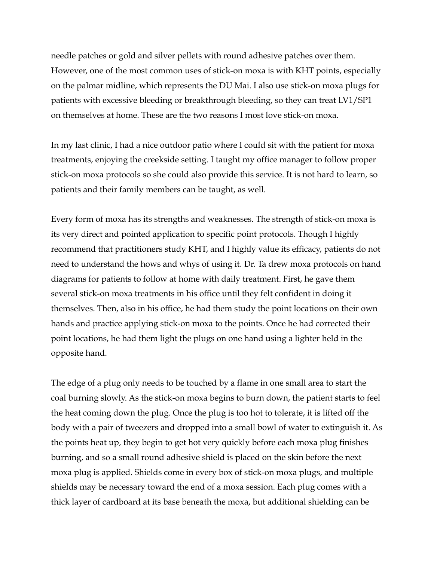needle patches or gold and silver pellets with round adhesive patches over them. However, one of the most common uses of stick-on moxa is with KHT points, especially on the palmar midline, which represents the DU Mai. I also use stick-on moxa plugs for patients with excessive bleeding or breakthrough bleeding, so they can treat LV1/SP1 on themselves at home. These are the two reasons I most love stick-on moxa.

In my last clinic, I had a nice outdoor patio where I could sit with the patient for moxa treatments, enjoying the creekside setting. I taught my office manager to follow proper stick-on moxa protocols so she could also provide this service. It is not hard to learn, so patients and their family members can be taught, as well.

Every form of moxa has its strengths and weaknesses. The strength of stick-on moxa is its very direct and pointed application to specific point protocols. Though I highly recommend that practitioners study KHT, and I highly value its efficacy, patients do not need to understand the hows and whys of using it. Dr. Ta drew moxa protocols on hand diagrams for patients to follow at home with daily treatment. First, he gave them several stick-on moxa treatments in his office until they felt confident in doing it themselves. Then, also in his office, he had them study the point locations on their own hands and practice applying stick-on moxa to the points. Once he had corrected their point locations, he had them light the plugs on one hand using a lighter held in the opposite hand.

The edge of a plug only needs to be touched by a flame in one small area to start the coal burning slowly. As the stick-on moxa begins to burn down, the patient starts to feel the heat coming down the plug. Once the plug is too hot to tolerate, it is lifted off the body with a pair of tweezers and dropped into a small bowl of water to extinguish it. As the points heat up, they begin to get hot very quickly before each moxa plug finishes burning, and so a small round adhesive shield is placed on the skin before the next moxa plug is applied. Shields come in every box of stick-on moxa plugs, and multiple shields may be necessary toward the end of a moxa session. Each plug comes with a thick layer of cardboard at its base beneath the moxa, but additional shielding can be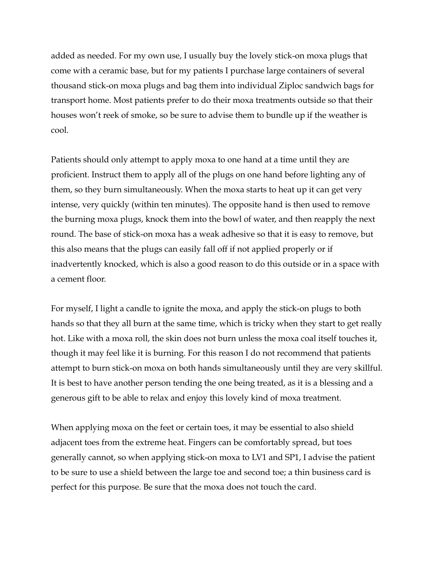added as needed. For my own use, I usually buy the lovely stick-on moxa plugs that come with a ceramic base, but for my patients I purchase large containers of several thousand stick-on moxa plugs and bag them into individual Ziploc sandwich bags for transport home. Most patients prefer to do their moxa treatments outside so that their houses won't reek of smoke, so be sure to advise them to bundle up if the weather is cool.

Patients should only attempt to apply moxa to one hand at a time until they are proficient. Instruct them to apply all of the plugs on one hand before lighting any of them, so they burn simultaneously. When the moxa starts to heat up it can get very intense, very quickly (within ten minutes). The opposite hand is then used to remove the burning moxa plugs, knock them into the bowl of water, and then reapply the next round. The base of stick-on moxa has a weak adhesive so that it is easy to remove, but this also means that the plugs can easily fall off if not applied properly or if inadvertently knocked, which is also a good reason to do this outside or in a space with a cement floor.

For myself, I light a candle to ignite the moxa, and apply the stick-on plugs to both hands so that they all burn at the same time, which is tricky when they start to get really hot. Like with a moxa roll, the skin does not burn unless the moxa coal itself touches it, though it may feel like it is burning. For this reason I do not recommend that patients attempt to burn stick-on moxa on both hands simultaneously until they are very skillful. It is best to have another person tending the one being treated, as it is a blessing and a generous gift to be able to relax and enjoy this lovely kind of moxa treatment.

When applying moxa on the feet or certain toes, it may be essential to also shield adjacent toes from the extreme heat. Fingers can be comfortably spread, but toes generally cannot, so when applying stick-on moxa to LV1 and SP1, I advise the patient to be sure to use a shield between the large toe and second toe; a thin business card is perfect for this purpose. Be sure that the moxa does not touch the card.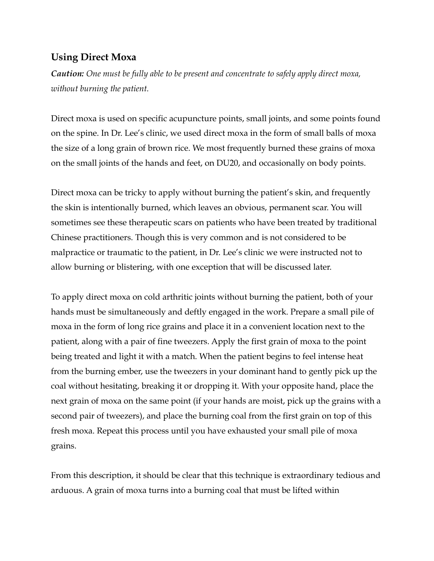#### **Using Direct Moxa**

*Caution: One must be fully able to be present and concentrate to safely apply direct moxa, without burning the patient.* 

Direct moxa is used on specific acupuncture points, small joints, and some points found on the spine. In Dr. Lee's clinic, we used direct moxa in the form of small balls of moxa the size of a long grain of brown rice. We most frequently burned these grains of moxa on the small joints of the hands and feet, on DU20, and occasionally on body points.

Direct moxa can be tricky to apply without burning the patient's skin, and frequently the skin is intentionally burned, which leaves an obvious, permanent scar. You will sometimes see these therapeutic scars on patients who have been treated by traditional Chinese practitioners. Though this is very common and is not considered to be malpractice or traumatic to the patient, in Dr. Lee's clinic we were instructed not to allow burning or blistering, with one exception that will be discussed later.

To apply direct moxa on cold arthritic joints without burning the patient, both of your hands must be simultaneously and deftly engaged in the work. Prepare a small pile of moxa in the form of long rice grains and place it in a convenient location next to the patient, along with a pair of fine tweezers. Apply the first grain of moxa to the point being treated and light it with a match. When the patient begins to feel intense heat from the burning ember, use the tweezers in your dominant hand to gently pick up the coal without hesitating, breaking it or dropping it. With your opposite hand, place the next grain of moxa on the same point (if your hands are moist, pick up the grains with a second pair of tweezers), and place the burning coal from the first grain on top of this fresh moxa. Repeat this process until you have exhausted your small pile of moxa grains.

From this description, it should be clear that this technique is extraordinary tedious and arduous. A grain of moxa turns into a burning coal that must be lifted within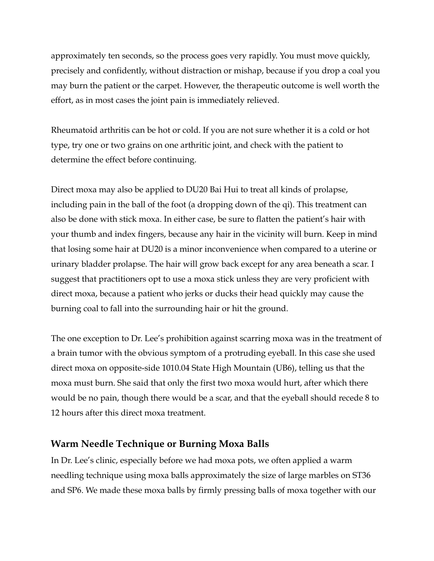approximately ten seconds, so the process goes very rapidly. You must move quickly, precisely and confidently, without distraction or mishap, because if you drop a coal you may burn the patient or the carpet. However, the therapeutic outcome is well worth the effort, as in most cases the joint pain is immediately relieved.

Rheumatoid arthritis can be hot or cold. If you are not sure whether it is a cold or hot type, try one or two grains on one arthritic joint, and check with the patient to determine the effect before continuing.

Direct moxa may also be applied to DU20 Bai Hui to treat all kinds of prolapse, including pain in the ball of the foot (a dropping down of the qi). This treatment can also be done with stick moxa. In either case, be sure to flatten the patient's hair with your thumb and index fingers, because any hair in the vicinity will burn. Keep in mind that losing some hair at DU20 is a minor inconvenience when compared to a uterine or urinary bladder prolapse. The hair will grow back except for any area beneath a scar. I suggest that practitioners opt to use a moxa stick unless they are very proficient with direct moxa, because a patient who jerks or ducks their head quickly may cause the burning coal to fall into the surrounding hair or hit the ground.

The one exception to Dr. Lee's prohibition against scarring moxa was in the treatment of a brain tumor with the obvious symptom of a protruding eyeball. In this case she used direct moxa on opposite-side 1010.04 State High Mountain (UB6), telling us that the moxa must burn. She said that only the first two moxa would hurt, after which there would be no pain, though there would be a scar, and that the eyeball should recede 8 to 12 hours after this direct moxa treatment.

## **Warm Needle Technique or Burning Moxa Balls**

In Dr. Lee's clinic, especially before we had moxa pots, we often applied a warm needling technique using moxa balls approximately the size of large marbles on ST36 and SP6. We made these moxa balls by firmly pressing balls of moxa together with our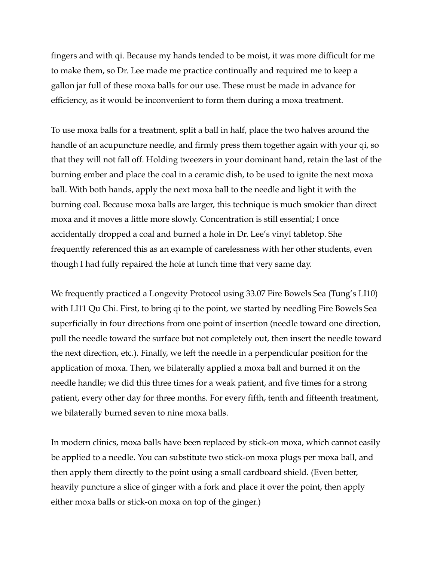fingers and with qi. Because my hands tended to be moist, it was more difficult for me to make them, so Dr. Lee made me practice continually and required me to keep a gallon jar full of these moxa balls for our use. These must be made in advance for efficiency, as it would be inconvenient to form them during a moxa treatment.

To use moxa balls for a treatment, split a ball in half, place the two halves around the handle of an acupuncture needle, and firmly press them together again with your qi, so that they will not fall off. Holding tweezers in your dominant hand, retain the last of the burning ember and place the coal in a ceramic dish, to be used to ignite the next moxa ball. With both hands, apply the next moxa ball to the needle and light it with the burning coal. Because moxa balls are larger, this technique is much smokier than direct moxa and it moves a little more slowly. Concentration is still essential; I once accidentally dropped a coal and burned a hole in Dr. Lee's vinyl tabletop. She frequently referenced this as an example of carelessness with her other students, even though I had fully repaired the hole at lunch time that very same day.

We frequently practiced a Longevity Protocol using 33.07 Fire Bowels Sea (Tung's LI10) with LI11 Qu Chi. First, to bring qi to the point, we started by needling Fire Bowels Sea superficially in four directions from one point of insertion (needle toward one direction, pull the needle toward the surface but not completely out, then insert the needle toward the next direction, etc.). Finally, we left the needle in a perpendicular position for the application of moxa. Then, we bilaterally applied a moxa ball and burned it on the needle handle; we did this three times for a weak patient, and five times for a strong patient, every other day for three months. For every fifth, tenth and fifteenth treatment, we bilaterally burned seven to nine moxa balls.

In modern clinics, moxa balls have been replaced by stick-on moxa, which cannot easily be applied to a needle. You can substitute two stick-on moxa plugs per moxa ball, and then apply them directly to the point using a small cardboard shield. (Even better, heavily puncture a slice of ginger with a fork and place it over the point, then apply either moxa balls or stick-on moxa on top of the ginger.)